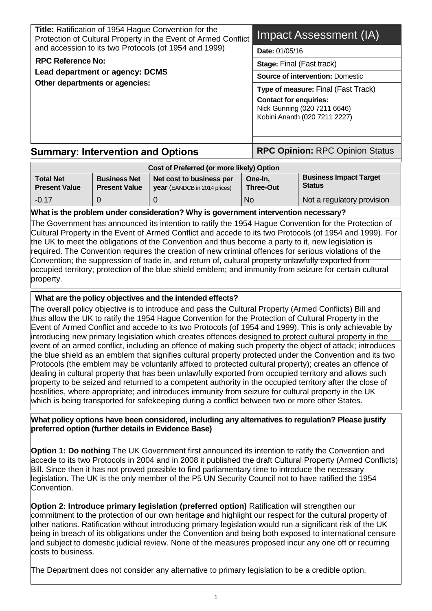| <b>Stage: Final (Fast track)</b><br><b>Source of intervention: Domestic</b><br>Type of measure: Final (Fast Track)<br><b>Contact for enquiries:</b><br>Nick Gunning (020 7211 6646)<br>Kobini Ananth (020 7211 2227) |
|----------------------------------------------------------------------------------------------------------------------------------------------------------------------------------------------------------------------|
| <b>RPC Opinion: RPC Opinion Status</b>                                                                                                                                                                               |
|                                                                                                                                                                                                                      |

#### **Cost of Preferred (or more likely) Option Total Net Present Value Business Net Present Value Net cost to business per year** (EANDCB in 2014 prices) **One-In, Three-Out Status**

**Business Impact Target** 

-0.17 0 0 No Not a regulatory provision

# **What is the problem under consideration? Why is government intervention necessary?**

The Government has announced its intention to ratify the 1954 Hague Convention for the Protection of Cultural Property in the Event of Armed Conflict and accede to its two Protocols (of 1954 and 1999). For the UK to meet the obligations of the Convention and thus become a party to it, new legislation is required. The Convention requires the creation of new criminal offences for serious violations of the Convention; the suppression of trade in, and return of, cultural property unlawfully exported from occupied territory; protection of the blue shield emblem; and immunity from seizure for certain cultural property.

# **What are the policy objectives and the intended effects?**

The overall policy objective is to introduce and pass the Cultural Property (Armed Conflicts) Bill and thus allow the UK to ratify the 1954 Hague Convention for the Protection of Cultural Property in the Event of Armed Conflict and accede to its two Protocols (of 1954 and 1999). This is only achievable by introducing new primary legislation which creates offences designed to protect cultural property in the event of an armed conflict, including an offence of making such property the object of attack; introduces the blue shield as an emblem that signifies cultural property protected under the Convention and its two Protocols (the emblem may be voluntarily affixed to protected cultural property); creates an offence of dealing in cultural property that has been unlawfully exported from occupied territory and allows such property to be seized and returned to a competent authority in the occupied territory after the close of hostilities, where appropriate; and introduces immunity from seizure for cultural property in the UK which is being transported for safekeeping during a conflict between two or more other States.

#### **What policy options have been considered, including any alternatives to regulation? Please justify preferred option (further details in Evidence Base)**

**Option 1: Do nothing** The UK Government first announced its intention to ratify the Convention and accede to its two Protocols in 2004 and in 2008 it published the draft Cultural Property (Armed Conflicts) Bill. Since then it has not proved possible to find parliamentary time to introduce the necessary legislation. The UK is the only member of the P5 UN Security Council not to have ratified the 1954 Convention.

**Option 2: Introduce primary legislation (preferred option)** Ratification will strengthen our commitment to the protection of our own heritage and highlight our respect for the cultural property of other nations. Ratification without introducing primary legislation would run a significant risk of the UK being in breach of its obligations under the Convention and being both exposed to international censure and subject to domestic judicial review. None of the measures proposed incur any one off or recurring costs to business.

The Department does not consider any alternative to primary legislation to be a credible option.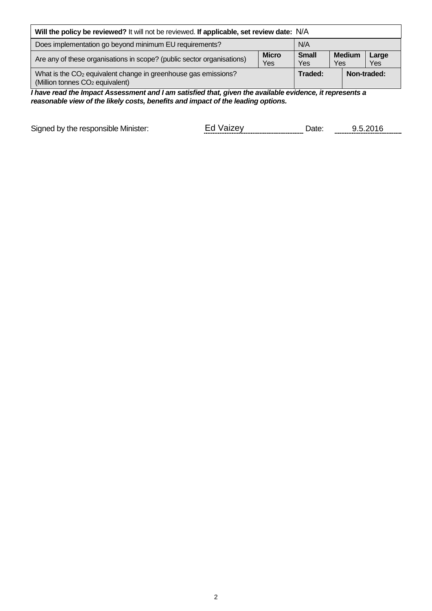| Will the policy be reviewed? It will not be reviewed. If applicable, set review date: N/A                                 |                     |                     |                      |              |
|---------------------------------------------------------------------------------------------------------------------------|---------------------|---------------------|----------------------|--------------|
| Does implementation go beyond minimum EU requirements?<br>N/A                                                             |                     |                     |                      |              |
| Are any of these organisations in scope? (public sector organisations)                                                    | <b>Micro</b><br>Yes | <b>Small</b><br>Yes | <b>Medium</b><br>Yes | Large<br>Yes |
| What is the CO <sub>2</sub> equivalent change in greenhouse gas emissions?<br>(Million tonnes CO <sub>2</sub> equivalent) |                     | Traded:             |                      | Non-traded:  |

*I have read the Impact Assessment and I am satisfied that, given the available evidence, it represents a reasonable view of the likely costs, benefits and impact of the leading options.*

Signed by the responsible Minister: Ed Vaizey Date: 0.5.2016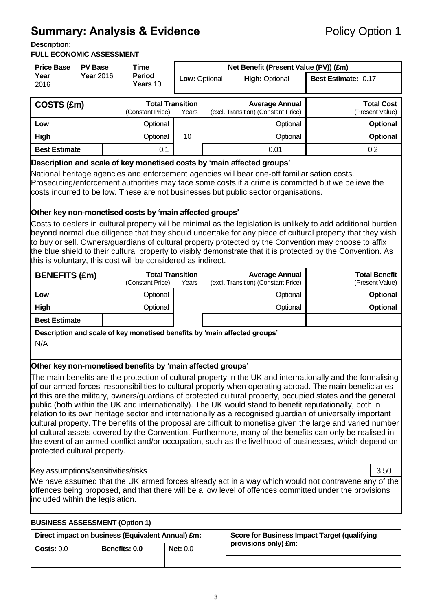# **Summary: Analysis & Evidence** Policy Option 1

**Description:** 

#### **FULL ECONOMIC ASSESSMENT**

| <b>Price Base</b><br><b>PV Base</b> |                  | <b>Time</b> |                                             | Net Benefit (Present Value (PV)) (£m) |  |                                                              |                                      |
|-------------------------------------|------------------|-------------|---------------------------------------------|---------------------------------------|--|--------------------------------------------------------------|--------------------------------------|
| Year<br>2016                        | <b>Year</b> 2016 |             | <b>Period</b><br>Years 10                   | Low: Optional                         |  | <b>High: Optional</b>                                        | <b>Best Estimate: -0.17</b>          |
| COSTS (£m)                          |                  |             | <b>Total Transition</b><br>(Constant Price) | Years                                 |  | <b>Average Annual</b><br>(excl. Transition) (Constant Price) | <b>Total Cost</b><br>(Present Value) |
| Low                                 |                  |             | Optional                                    |                                       |  | Optional                                                     | <b>Optional</b>                      |
| High                                |                  |             | Optional                                    | 10                                    |  | Optional                                                     | <b>Optional</b>                      |
| <b>Best Estimate</b>                |                  |             | 0.1                                         |                                       |  | 0.01                                                         | 0.2                                  |

#### **Description and scale of key monetised costs by 'main affected groups'**

National heritage agencies and enforcement agencies will bear one-off familiarisation costs. Prosecuting/enforcement authorities may face some costs if a crime is committed but we believe the costs incurred to be low. These are not businesses but public sector organisations.

### **Other key non-monetised costs by 'main affected groups'**

Costs to dealers in cultural property will be minimal as the legislation is unlikely to add additional burden beyond normal due diligence that they should undertake for any piece of cultural property that they wish to buy or sell. Owners/guardians of cultural property protected by the Convention may choose to affix the blue shield to their cultural property to visibly demonstrate that it is protected by the Convention. As this is voluntary, this cost will be considered as indirect.

| <b>BENEFITS (£m)</b> | <b>Total Transition</b><br>(Constant Price) | Years | <b>Average Annual</b><br>(excl. Transition) (Constant Price) | <b>Total Benefit</b><br>(Present Value) |
|----------------------|---------------------------------------------|-------|--------------------------------------------------------------|-----------------------------------------|
| Low                  | Optional                                    |       | Optional                                                     | <b>Optional</b>                         |
| High                 | Optional                                    |       | Optional                                                     | <b>Optional</b>                         |
| <b>Best Estimate</b> |                                             |       |                                                              |                                         |

**Description and scale of key monetised benefits by 'main affected groups'**  N/A

# **Other key non-monetised benefits by 'main affected groups'**

The main benefits are the protection of cultural property in the UK and internationally and the formalising of our armed forces' responsibilities to cultural property when operating abroad. The main beneficiaries of this are the military, owners/guardians of protected cultural property, occupied states and the general public (both within the UK and internationally). The UK would stand to benefit reputationally, both in relation to its own heritage sector and internationally as a recognised guardian of universally important cultural property. The benefits of the proposal are difficult to monetise given the large and varied number of cultural assets covered by the Convention. Furthermore, many of the benefits can only be realised in the event of an armed conflict and/or occupation, such as the livelihood of businesses, which depend on protected cultural property.

#### Key assumptions/sensitivities/risks

3.50

<u>Discount rate and the second rate</u>

We have assumed that the UK armed forces already act in a way which would not contravene any of the offences being proposed, and that there will be a low level of offences committed under the provisions included within the legislation.

### **(%) BUSINESS ASSESSMENT (Option 1)**

|            | Direct impact on business (Equivalent Annual) £m: |                 | Score for Business Impact Target (qualifying |
|------------|---------------------------------------------------|-----------------|----------------------------------------------|
| Costs: 0.0 | Benefits: 0.0                                     | <b>Net: 0.0</b> | provisions only) £m:                         |
|            |                                                   |                 |                                              |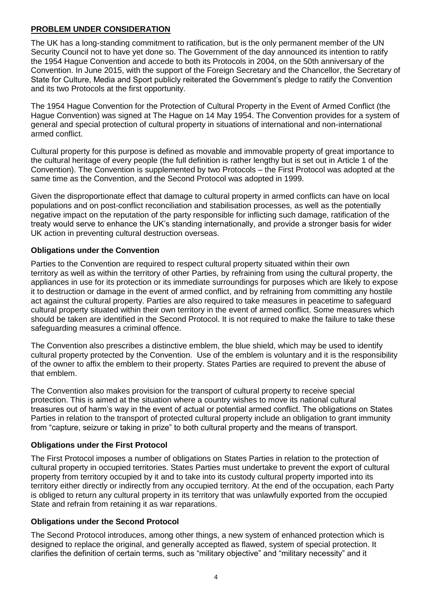### **PROBLEM UNDER CONSIDERATION**

The UK has a long-standing commitment to ratification, but is the only permanent member of the UN Security Council not to have yet done so. The Government of the day announced its intention to ratify the 1954 Hague Convention and accede to both its Protocols in 2004, on the 50th anniversary of the Convention. In June 2015, with the support of the Foreign Secretary and the Chancellor, the Secretary of State for Culture, Media and Sport publicly reiterated the Government's pledge to ratify the Convention and its two Protocols at the first opportunity.

The 1954 Hague Convention for the Protection of Cultural Property in the Event of Armed Conflict (the Hague Convention) was signed at The Hague on 14 May 1954. The Convention provides for a system of general and special protection of cultural property in situations of international and non-international armed conflict.

Cultural property for this purpose is defined as movable and immovable property of great importance to the cultural heritage of every people (the full definition is rather lengthy but is set out in Article 1 of the Convention). The Convention is supplemented by two Protocols – the First Protocol was adopted at the same time as the Convention, and the Second Protocol was adopted in 1999.

Given the disproportionate effect that damage to cultural property in armed conflicts can have on local populations and on post-conflict reconciliation and stabilisation processes, as well as the potentially negative impact on the reputation of the party responsible for inflicting such damage, ratification of the treaty would serve to enhance the UK's standing internationally, and provide a stronger basis for wider UK action in preventing cultural destruction overseas.

### **Obligations under the Convention**

Parties to the Convention are required to respect cultural property situated within their own territory as well as within the territory of other Parties, by refraining from using the cultural property, the appliances in use for its protection or its immediate surroundings for purposes which are likely to expose it to destruction or damage in the event of armed conflict, and by refraining from committing any hostile act against the cultural property. Parties are also required to take measures in peacetime to safeguard cultural property situated within their own territory in the event of armed conflict. Some measures which should be taken are identified in the Second Protocol. It is not required to make the failure to take these safeguarding measures a criminal offence.

The Convention also prescribes a distinctive emblem, the blue shield, which may be used to identify cultural property protected by the Convention. Use of the emblem is voluntary and it is the responsibility of the owner to affix the emblem to their property. States Parties are required to prevent the abuse of that emblem.

The Convention also makes provision for the transport of cultural property to receive special protection. This is aimed at the situation where a country wishes to move its national cultural treasures out of harm's way in the event of actual or potential armed conflict. The obligations on States Parties in relation to the transport of protected cultural property include an obligation to grant immunity from "capture, seizure or taking in prize" to both cultural property and the means of transport.

#### **Obligations under the First Protocol**

The First Protocol imposes a number of obligations on States Parties in relation to the protection of cultural property in occupied territories. States Parties must undertake to prevent the export of cultural property from territory occupied by it and to take into its custody cultural property imported into its territory either directly or indirectly from any occupied territory. At the end of the occupation, each Party is obliged to return any cultural property in its territory that was unlawfully exported from the occupied State and refrain from retaining it as war reparations.

#### **Obligations under the Second Protocol**

The Second Protocol introduces, among other things, a new system of enhanced protection which is designed to replace the original, and generally accepted as flawed, system of special protection. It clarifies the definition of certain terms, such as "military objective" and "military necessity" and it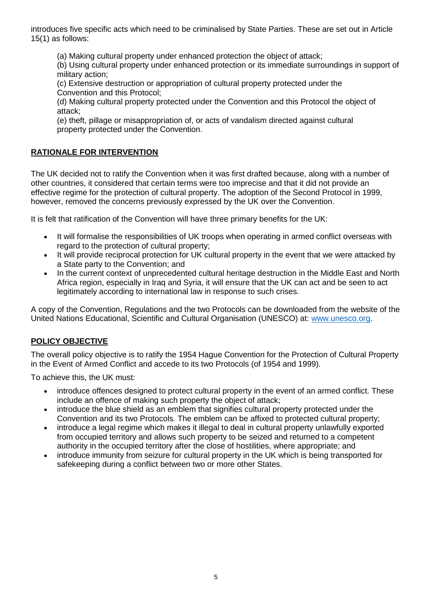introduces five specific acts which need to be criminalised by State Parties. These are set out in Article 15(1) as follows:

(a) Making cultural property under enhanced protection the object of attack;

(b) Using cultural property under enhanced protection or its immediate surroundings in support of military action;

(c) Extensive destruction or appropriation of cultural property protected under the Convention and this Protocol;

(d) Making cultural property protected under the Convention and this Protocol the object of attack;

(e) theft, pillage or misappropriation of, or acts of vandalism directed against cultural property protected under the Convention.

# **RATIONALE FOR INTERVENTION**

The UK decided not to ratify the Convention when it was first drafted because, along with a number of other countries, it considered that certain terms were too imprecise and that it did not provide an effective regime for the protection of cultural property. The adoption of the Second Protocol in 1999, however, removed the concerns previously expressed by the UK over the Convention.

It is felt that ratification of the Convention will have three primary benefits for the UK:

- It will formalise the responsibilities of UK troops when operating in armed conflict overseas with regard to the protection of cultural property;
- It will provide reciprocal protection for UK cultural property in the event that we were attacked by a State party to the Convention; and
- In the current context of unprecedented cultural heritage destruction in the Middle East and North Africa region, especially in Iraq and Syria, it will ensure that the UK can act and be seen to act legitimately according to international law in response to such crises.

A copy of the Convention, Regulations and the two Protocols can be downloaded from the website of the United Nations Educational, Scientific and Cultural Organisation (UNESCO) at: [www.unesco.org.](http://www.unesco.org/)

# **POLICY OBJECTIVE**

The overall policy objective is to ratify the 1954 Hague Convention for the Protection of Cultural Property in the Event of Armed Conflict and accede to its two Protocols (of 1954 and 1999).

To achieve this, the UK must:

- introduce offences designed to protect cultural property in the event of an armed conflict. These include an offence of making such property the object of attack;
- introduce the blue shield as an emblem that signifies cultural property protected under the Convention and its two Protocols. The emblem can be affixed to protected cultural property;
- introduce a legal regime which makes it illegal to deal in cultural property unlawfully exported from occupied territory and allows such property to be seized and returned to a competent authority in the occupied territory after the close of hostilities, where appropriate; and
- introduce immunity from seizure for cultural property in the UK which is being transported for safekeeping during a conflict between two or more other States.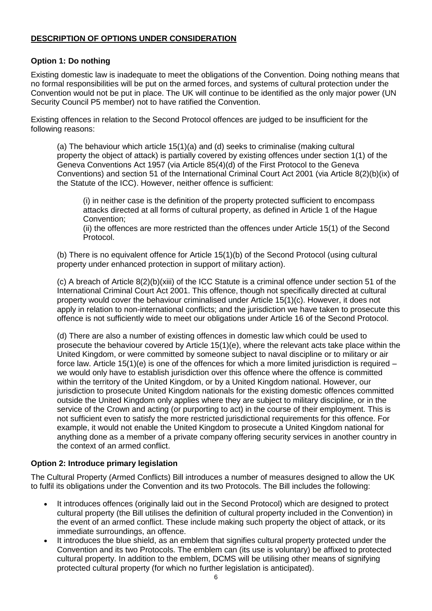### **DESCRIPTION OF OPTIONS UNDER CONSIDERATION**

#### **Option 1: Do nothing**

Existing domestic law is inadequate to meet the obligations of the Convention. Doing nothing means that no formal responsibilities will be put on the armed forces, and systems of cultural protection under the Convention would not be put in place. The UK will continue to be identified as the only major power (UN Security Council P5 member) not to have ratified the Convention.

Existing offences in relation to the Second Protocol offences are judged to be insufficient for the following reasons:

(a) The behaviour which article 15(1)(a) and (d) seeks to criminalise (making cultural property the object of attack) is partially covered by existing offences under section 1(1) of the Geneva Conventions Act 1957 (via Article 85(4)(d) of the First Protocol to the Geneva Conventions) and section 51 of the International Criminal Court Act 2001 (via Article 8(2)(b)(ix) of the Statute of the ICC). However, neither offence is sufficient:

(i) in neither case is the definition of the property protected sufficient to encompass attacks directed at all forms of cultural property, as defined in Article 1 of the Hague Convention;

(ii) the offences are more restricted than the offences under Article 15(1) of the Second Protocol.

(b) There is no equivalent offence for Article 15(1)(b) of the Second Protocol (using cultural property under enhanced protection in support of military action).

(c) A breach of Article 8(2)(b)(xiii) of the ICC Statute is a criminal offence under section 51 of the International Criminal Court Act 2001. This offence, though not specifically directed at cultural property would cover the behaviour criminalised under Article 15(1)(c). However, it does not apply in relation to non-international conflicts; and the jurisdiction we have taken to prosecute this offence is not sufficiently wide to meet our obligations under Article 16 of the Second Protocol.

(d) There are also a number of existing offences in domestic law which could be used to prosecute the behaviour covered by Article 15(1)(e), where the relevant acts take place within the United Kingdom, or were committed by someone subject to naval discipline or to military or air force law. Article 15(1)(e) is one of the offences for which a more limited jurisdiction is required – we would only have to establish jurisdiction over this offence where the offence is committed within the territory of the United Kingdom, or by a United Kingdom national. However, our jurisdiction to prosecute United Kingdom nationals for the existing domestic offences committed outside the United Kingdom only applies where they are subject to military discipline, or in the service of the Crown and acting (or purporting to act) in the course of their employment. This is not sufficient even to satisfy the more restricted jurisdictional requirements for this offence. For example, it would not enable the United Kingdom to prosecute a United Kingdom national for anything done as a member of a private company offering security services in another country in the context of an armed conflict.

# **Option 2: Introduce primary legislation**

The Cultural Property (Armed Conflicts) Bill introduces a number of measures designed to allow the UK to fulfil its obligations under the Convention and its two Protocols. The Bill includes the following:

- It introduces offences (originally laid out in the Second Protocol) which are designed to protect cultural property (the Bill utilises the definition of cultural property included in the Convention) in the event of an armed conflict. These include making such property the object of attack, or its immediate surroundings, an offence.
- It introduces the blue shield, as an emblem that signifies cultural property protected under the Convention and its two Protocols. The emblem can (its use is voluntary) be affixed to protected cultural property. In addition to the emblem, DCMS will be utilising other means of signifying protected cultural property (for which no further legislation is anticipated).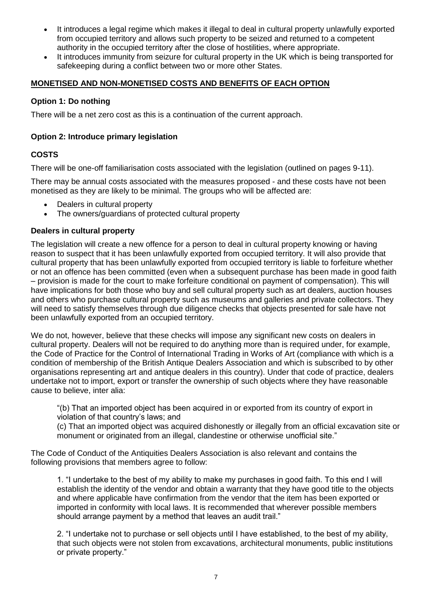- It introduces a legal regime which makes it illegal to deal in cultural property unlawfully exported from occupied territory and allows such property to be seized and returned to a competent authority in the occupied territory after the close of hostilities, where appropriate.
- It introduces immunity from seizure for cultural property in the UK which is being transported for safekeeping during a conflict between two or more other States.

# **MONETISED AND NON-MONETISED COSTS AND BENEFITS OF EACH OPTION**

#### **Option 1: Do nothing**

There will be a net zero cost as this is a continuation of the current approach.

#### **Option 2: Introduce primary legislation**

# **COSTS**

There will be one-off familiarisation costs associated with the legislation (outlined on pages 9-11).

There may be annual costs associated with the measures proposed - and these costs have not been monetised as they are likely to be minimal. The groups who will be affected are:

- Dealers in cultural property
- The owners/guardians of protected cultural property

### **Dealers in cultural property**

The legislation will create a new offence for a person to deal in cultural property knowing or having reason to suspect that it has been unlawfully exported from occupied territory. It will also provide that cultural property that has been unlawfully exported from occupied territory is liable to forfeiture whether or not an offence has been committed (even when a subsequent purchase has been made in good faith – provision is made for the court to make forfeiture conditional on payment of compensation). This will have implications for both those who buy and sell cultural property such as art dealers, auction houses and others who purchase cultural property such as museums and galleries and private collectors. They will need to satisfy themselves through due diligence checks that objects presented for sale have not been unlawfully exported from an occupied territory.

We do not, however, believe that these checks will impose any significant new costs on dealers in cultural property. Dealers will not be required to do anything more than is required under, for example, the Code of Practice for the Control of International Trading in Works of Art (compliance with which is a condition of membership of the British Antique Dealers Association and which is subscribed to by other organisations representing art and antique dealers in this country). Under that code of practice, dealers undertake not to import, export or transfer the ownership of such objects where they have reasonable cause to believe, inter alia:

"(b) That an imported object has been acquired in or exported from its country of export in violation of that country's laws; and

(c) That an imported object was acquired dishonestly or illegally from an official excavation site or monument or originated from an illegal, clandestine or otherwise unofficial site."

The Code of Conduct of the Antiquities Dealers Association is also relevant and contains the following provisions that members agree to follow:

1. "I undertake to the best of my ability to make my purchases in good faith. To this end I will establish the identity of the vendor and obtain a warranty that they have good title to the objects and where applicable have confirmation from the vendor that the item has been exported or imported in conformity with local laws. It is recommended that wherever possible members should arrange payment by a method that leaves an audit trail."

2. "I undertake not to purchase or sell objects until I have established, to the best of my ability, that such objects were not stolen from excavations, architectural monuments, public institutions or private property."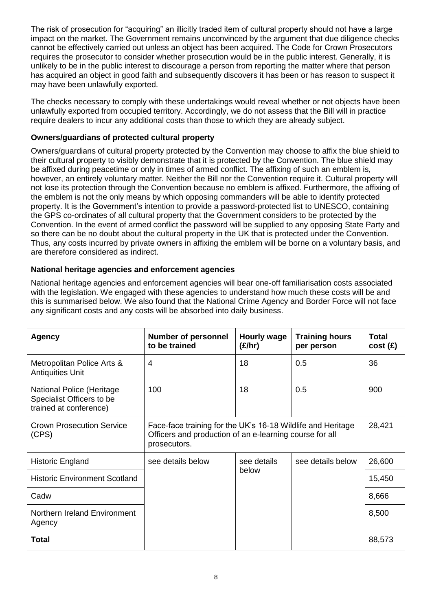The risk of prosecution for "acquiring" an illicitly traded item of cultural property should not have a large impact on the market. The Government remains unconvinced by the argument that due diligence checks cannot be effectively carried out unless an object has been acquired. The Code for Crown Prosecutors requires the prosecutor to consider whether prosecution would be in the public interest. Generally, it is unlikely to be in the public interest to discourage a person from reporting the matter where that person has acquired an object in good faith and subsequently discovers it has been or has reason to suspect it may have been unlawfully exported.

The checks necessary to comply with these undertakings would reveal whether or not objects have been unlawfully exported from occupied territory. Accordingly, we do not assess that the Bill will in practice require dealers to incur any additional costs than those to which they are already subject.

# **Owners/guardians of protected cultural property**

Owners/guardians of cultural property protected by the Convention may choose to affix the blue shield to their cultural property to visibly demonstrate that it is protected by the Convention. The blue shield may be affixed during peacetime or only in times of armed conflict. The affixing of such an emblem is, however, an entirely voluntary matter. Neither the Bill nor the Convention require it. Cultural property will not lose its protection through the Convention because no emblem is affixed. Furthermore, the affixing of the emblem is not the only means by which opposing commanders will be able to identify protected property. It is the Government's intention to provide a password-protected list to UNESCO, containing the GPS co-ordinates of all cultural property that the Government considers to be protected by the Convention. In the event of armed conflict the password will be supplied to any opposing State Party and so there can be no doubt about the cultural property in the UK that is protected under the Convention. Thus, any costs incurred by private owners in affixing the emblem will be borne on a voluntary basis, and are therefore considered as indirect.

### **National heritage agencies and enforcement agencies**

National heritage agencies and enforcement agencies will bear one-off familiarisation costs associated with the legislation. We engaged with these agencies to understand how much these costs will be and this is summarised below. We also found that the National Crime Agency and Border Force will not face any significant costs and any costs will be absorbed into daily business.

| <b>Agency</b>                                                                           | <b>Number of personnel</b><br>to be trained                                                                                            | <b>Hourly wage</b><br>(E/hr) | <b>Training hours</b><br>per person | <b>Total</b><br>cost(E) |
|-----------------------------------------------------------------------------------------|----------------------------------------------------------------------------------------------------------------------------------------|------------------------------|-------------------------------------|-------------------------|
| Metropolitan Police Arts &<br><b>Antiquities Unit</b>                                   | 4                                                                                                                                      | 18                           | 0.5                                 | 36                      |
| <b>National Police (Heritage</b><br>Specialist Officers to be<br>trained at conference) | 100                                                                                                                                    | 18                           | 0.5                                 | 900                     |
| <b>Crown Prosecution Service</b><br>(CPS)                                               | Face-face training for the UK's 16-18 Wildlife and Heritage<br>Officers and production of an e-learning course for all<br>prosecutors. |                              |                                     |                         |
| Historic England                                                                        | see details below                                                                                                                      | see details<br>below         | see details below                   | 26,600                  |
| <b>Historic Environment Scotland</b>                                                    |                                                                                                                                        |                              |                                     | 15,450                  |
| Cadw                                                                                    |                                                                                                                                        |                              |                                     | 8,666                   |
| Northern Ireland Environment<br>Agency                                                  |                                                                                                                                        |                              |                                     | 8,500                   |
| Total                                                                                   |                                                                                                                                        |                              |                                     | 88,573                  |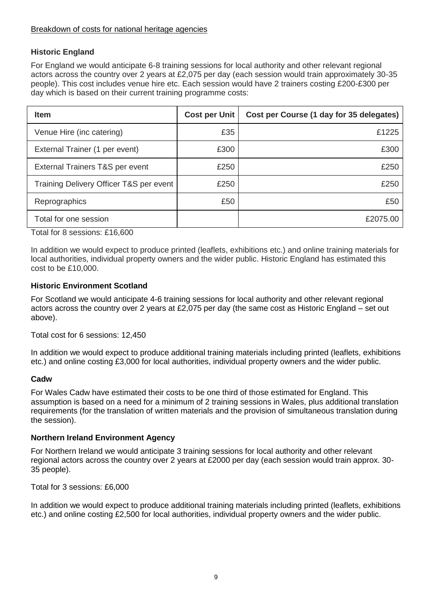### Breakdown of costs for national heritage agencies

# **Historic England**

For England we would anticipate 6-8 training sessions for local authority and other relevant regional actors across the country over 2 years at £2,075 per day (each session would train approximately 30-35 people). This cost includes venue hire etc. Each session would have 2 trainers costing £200-£300 per day which is based on their current training programme costs:

| <b>Item</b>                             | <b>Cost per Unit</b> | Cost per Course (1 day for 35 delegates) |
|-----------------------------------------|----------------------|------------------------------------------|
| Venue Hire (inc catering)               | £35                  | £1225                                    |
| External Trainer (1 per event)          | £300                 | £300                                     |
| External Trainers T&S per event         | £250                 | £250                                     |
| Training Delivery Officer T&S per event | £250                 | £250                                     |
| Reprographics                           | £50                  | £50                                      |
| Total for one session                   |                      | £2075.00                                 |

Total for 8 sessions: £16,600

In addition we would expect to produce printed (leaflets, exhibitions etc.) and online training materials for local authorities, individual property owners and the wider public. Historic England has estimated this cost to be £10,000.

#### **Historic Environment Scotland**

For Scotland we would anticipate 4-6 training sessions for local authority and other relevant regional actors across the country over 2 years at £2,075 per day (the same cost as Historic England – set out above).

Total cost for 6 sessions: 12,450

In addition we would expect to produce additional training materials including printed (leaflets, exhibitions etc.) and online costing £3,000 for local authorities, individual property owners and the wider public.

#### **Cadw**

For Wales Cadw have estimated their costs to be one third of those estimated for England. This assumption is based on a need for a minimum of 2 training sessions in Wales, plus additional translation requirements (for the translation of written materials and the provision of simultaneous translation during the session).

#### **Northern Ireland Environment Agency**

For Northern Ireland we would anticipate 3 training sessions for local authority and other relevant regional actors across the country over 2 years at £2000 per day (each session would train approx. 30- 35 people).

Total for 3 sessions: £6,000

In addition we would expect to produce additional training materials including printed (leaflets, exhibitions etc.) and online costing £2,500 for local authorities, individual property owners and the wider public.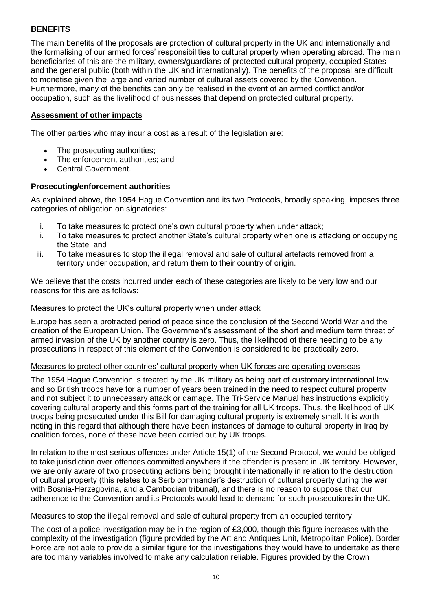# **BENEFITS**

The main benefits of the proposals are protection of cultural property in the UK and internationally and the formalising of our armed forces' responsibilities to cultural property when operating abroad. The main beneficiaries of this are the military, owners/guardians of protected cultural property, occupied States and the general public (both within the UK and internationally). The benefits of the proposal are difficult to monetise given the large and varied number of cultural assets covered by the Convention. Furthermore, many of the benefits can only be realised in the event of an armed conflict and/or occupation, such as the livelihood of businesses that depend on protected cultural property.

#### **Assessment of other impacts**

The other parties who may incur a cost as a result of the legislation are:

- The prosecuting authorities;
- The enforcement authorities; and
- Central Government.

#### **Prosecuting/enforcement authorities**

As explained above, the 1954 Hague Convention and its two Protocols, broadly speaking, imposes three categories of obligation on signatories:

- i. To take measures to protect one's own cultural property when under attack;
- ii. To take measures to protect another State's cultural property when one is attacking or occupying the State; and
- iii. To take measures to stop the illegal removal and sale of cultural artefacts removed from a territory under occupation, and return them to their country of origin.

We believe that the costs incurred under each of these categories are likely to be very low and our reasons for this are as follows:

#### Measures to protect the UK's cultural property when under attack

Europe has seen a protracted period of peace since the conclusion of the Second World War and the creation of the European Union. The Government's assessment of the short and medium term threat of armed invasion of the UK by another country is zero. Thus, the likelihood of there needing to be any prosecutions in respect of this element of the Convention is considered to be practically zero.

#### Measures to protect other countries' cultural property when UK forces are operating overseas

The 1954 Hague Convention is treated by the UK military as being part of customary international law and so British troops have for a number of years been trained in the need to respect cultural property and not subject it to unnecessary attack or damage. The Tri-Service Manual has instructions explicitly covering cultural property and this forms part of the training for all UK troops. Thus, the likelihood of UK troops being prosecuted under this Bill for damaging cultural property is extremely small. It is worth noting in this regard that although there have been instances of damage to cultural property in Iraq by coalition forces, none of these have been carried out by UK troops.

In relation to the most serious offences under Article 15(1) of the Second Protocol, we would be obliged to take jurisdiction over offences committed anywhere if the offender is present in UK territory. However, we are only aware of two prosecuting actions being brought internationally in relation to the destruction of cultural property (this relates to a Serb commander's destruction of cultural property during the war with Bosnia-Herzegovina, and a Cambodian tribunal), and there is no reason to suppose that our adherence to the Convention and its Protocols would lead to demand for such prosecutions in the UK.

#### Measures to stop the illegal removal and sale of cultural property from an occupied territory

The cost of a police investigation may be in the region of £3,000, though this figure increases with the complexity of the investigation (figure provided by the Art and Antiques Unit, Metropolitan Police). Border Force are not able to provide a similar figure for the investigations they would have to undertake as there are too many variables involved to make any calculation reliable. Figures provided by the Crown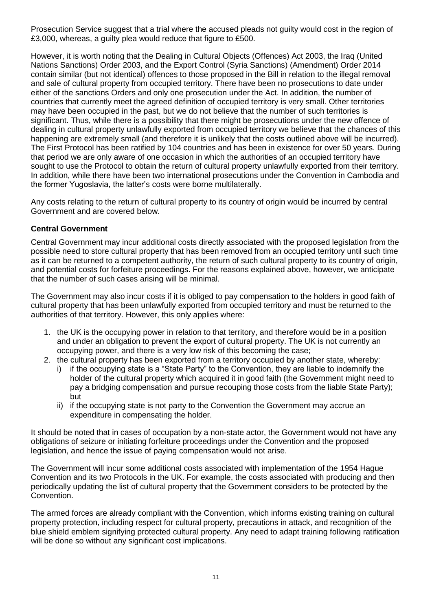Prosecution Service suggest that a trial where the accused pleads not guilty would cost in the region of £3,000, whereas, a guilty plea would reduce that figure to £500.

However, it is worth noting that the Dealing in Cultural Objects (Offences) Act 2003, the Iraq (United Nations Sanctions) Order 2003, and the Export Control (Syria Sanctions) (Amendment) Order 2014 contain similar (but not identical) offences to those proposed in the Bill in relation to the illegal removal and sale of cultural property from occupied territory. There have been no prosecutions to date under either of the sanctions Orders and only one prosecution under the Act. In addition, the number of countries that currently meet the agreed definition of occupied territory is very small. Other territories may have been occupied in the past, but we do not believe that the number of such territories is significant. Thus, while there is a possibility that there might be prosecutions under the new offence of dealing in cultural property unlawfully exported from occupied territory we believe that the chances of this happening are extremely small (and therefore it is unlikely that the costs outlined above will be incurred). The First Protocol has been ratified by 104 countries and has been in existence for over 50 years. During that period we are only aware of one occasion in which the authorities of an occupied territory have sought to use the Protocol to obtain the return of cultural property unlawfully exported from their territory. In addition, while there have been two international prosecutions under the Convention in Cambodia and the former Yugoslavia, the latter's costs were borne multilaterally.

Any costs relating to the return of cultural property to its country of origin would be incurred by central Government and are covered below.

### **Central Government**

Central Government may incur additional costs directly associated with the proposed legislation from the possible need to store cultural property that has been removed from an occupied territory until such time as it can be returned to a competent authority, the return of such cultural property to its country of origin, and potential costs for forfeiture proceedings. For the reasons explained above, however, we anticipate that the number of such cases arising will be minimal.

The Government may also incur costs if it is obliged to pay compensation to the holders in good faith of cultural property that has been unlawfully exported from occupied territory and must be returned to the authorities of that territory. However, this only applies where:

- 1. the UK is the occupying power in relation to that territory, and therefore would be in a position and under an obligation to prevent the export of cultural property. The UK is not currently an occupying power, and there is a very low risk of this becoming the case;
- 2. the cultural property has been exported from a territory occupied by another state, whereby:
	- i) if the occupying state is a "State Party" to the Convention, they are liable to indemnify the holder of the cultural property which acquired it in good faith (the Government might need to pay a bridging compensation and pursue recouping those costs from the liable State Party); but
	- ii) if the occupying state is not party to the Convention the Government may accrue an expenditure in compensating the holder.

It should be noted that in cases of occupation by a non-state actor, the Government would not have any obligations of seizure or initiating forfeiture proceedings under the Convention and the proposed legislation, and hence the issue of paying compensation would not arise.

The Government will incur some additional costs associated with implementation of the 1954 Hague Convention and its two Protocols in the UK. For example, the costs associated with producing and then periodically updating the list of cultural property that the Government considers to be protected by the Convention.

The armed forces are already compliant with the Convention, which informs existing training on cultural property protection, including respect for cultural property, precautions in attack, and recognition of the blue shield emblem signifying protected cultural property. Any need to adapt training following ratification will be done so without any significant cost implications.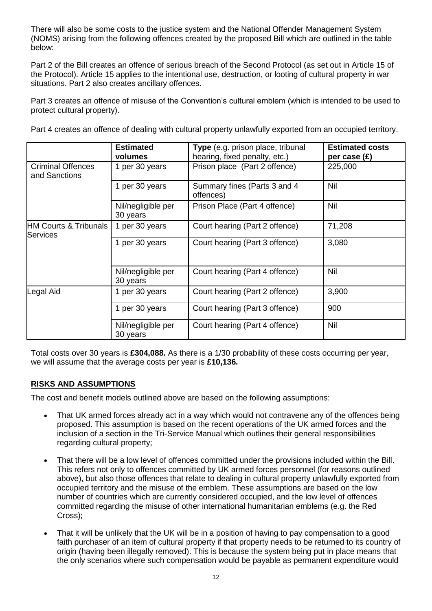There will also be some costs to the justice system and the National Offender Management System (NOMS) arising from the following offences created by the proposed Bill which are outlined in the table below:

Part 2 of the Bill creates an offence of serious breach of the Second Protocol (as set out in Article 15 of the Protocol). Article 15 applies to the intentional use, destruction, or looting of cultural property in war situations. Part 2 also creates ancillary offences.

Part 3 creates an offence of misuse of the Convention's cultural emblem (which is intended to be used to protect cultural property).

Part 4 creates an offence of dealing with cultural property unlawfully exported from an occupied territory.

|                                           | <b>Estimated</b><br>volumes    | Type (e.g. prison place, tribunal<br>hearing, fixed penalty, etc.) | <b>Estimated costs</b><br>per case $(E)$ |
|-------------------------------------------|--------------------------------|--------------------------------------------------------------------|------------------------------------------|
| <b>Criminal Offences</b><br>and Sanctions | 1 per 30 years                 | Prison place (Part 2 offence)                                      | 225,000                                  |
|                                           | 1 per 30 years                 | Summary fines (Parts 3 and 4<br>offences)                          | Nil                                      |
|                                           | Nil/negligible per<br>30 years | Prison Place (Part 4 offence)                                      | Nil                                      |
| HM Courts & Tribunals<br>Services         | 1 per 30 years                 | Court hearing (Part 2 offence)                                     | 71,208                                   |
|                                           | 1 per 30 years                 | Court hearing (Part 3 offence)                                     | 3,080                                    |
|                                           | Nil/negligible per<br>30 years | Court hearing (Part 4 offence)                                     | Nil                                      |
| Legal Aid                                 | 1 per 30 years                 | Court hearing (Part 2 offence)                                     | 3,900                                    |
|                                           | 1 per 30 years                 | Court hearing (Part 3 offence)                                     | 900                                      |
|                                           | Nil/negligible per<br>30 years | Court hearing (Part 4 offence)                                     | Nil                                      |

Total costs over 30 years is **£304,088.** As there is a 1/30 probability of these costs occurring per year, we will assume that the average costs per year is **£10,136.**

# **RISKS AND ASSUMPTIONS**

The cost and benefit models outlined above are based on the following assumptions:

- That UK armed forces already act in a way which would not contravene any of the offences being proposed. This assumption is based on the recent operations of the UK armed forces and the inclusion of a section in the Tri-Service Manual which outlines their general responsibilities regarding cultural property;
- That there will be a low level of offences committed under the provisions included within the Bill. This refers not only to offences committed by UK armed forces personnel (for reasons outlined above), but also those offences that relate to dealing in cultural property unlawfully exported from occupied territory and the misuse of the emblem. These assumptions are based on the low number of countries which are currently considered occupied, and the low level of offences committed regarding the misuse of other international humanitarian emblems (e.g. the Red Cross);
- That it will be unlikely that the UK will be in a position of having to pay compensation to a good faith purchaser of an item of cultural property if that property needs to be returned to its country of origin (having been illegally removed). This is because the system being put in place means that the only scenarios where such compensation would be payable as permanent expenditure would